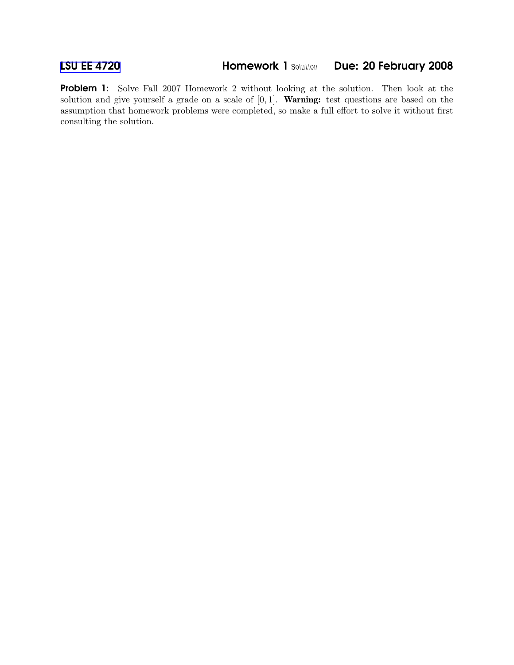Problem 1: Solve Fall 2007 Homework 2 without looking at the solution. Then look at the solution and give yourself a grade on a scale of  $[0, 1]$ . **Warning:** test questions are based on the assumption that homework problems were completed, so make a full effort to solve it without first consulting the solution.